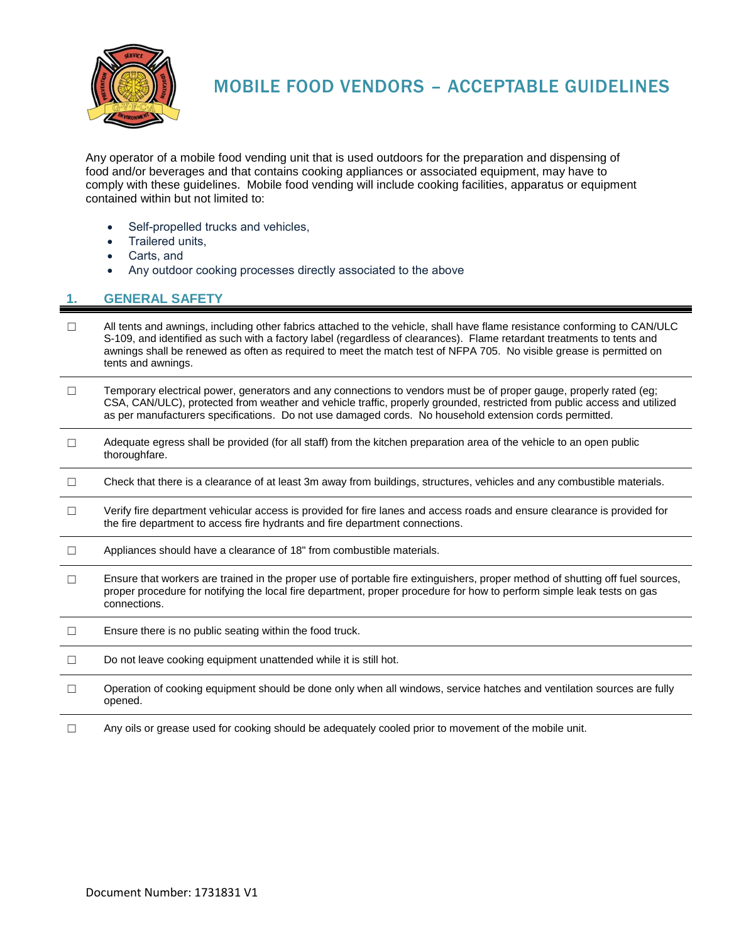

## MOBILE FOOD VENDORS – ACCEPTABLE GUIDELINES

Any operator of a mobile food vending unit that is used outdoors for the preparation and dispensing of food and/or beverages and that contains cooking appliances or associated equipment, may have to comply with these guidelines. Mobile food vending will include cooking facilities, apparatus or equipment contained within but not limited to:

- Self-propelled trucks and vehicles,
- Trailered units,
- Carts, and
- Any outdoor cooking processes directly associated to the above

## **1. GENERAL SAFETY**

- ☐ All tents and awnings, including other fabrics attached to the vehicle, shall have flame resistance conforming to CAN/ULC S-109, and identified as such with a factory label (regardless of clearances). Flame retardant treatments to tents and awnings shall be renewed as often as required to meet the match test of NFPA 705. No visible grease is permitted on tents and awnings.
- ☐ Temporary electrical power, generators and any connections to vendors must be of proper gauge, properly rated (eg; CSA, CAN/ULC), protected from weather and vehicle traffic, properly grounded, restricted from public access and utilized as per manufacturers specifications. Do not use damaged cords. No household extension cords permitted.
- $\Box$  Adequate egress shall be provided (for all staff) from the kitchen preparation area of the vehicle to an open public thoroughfare.
- ☐ Check that there is a clearance of at least 3m away from buildings, structures, vehicles and any combustible materials.
- ☐ Verify fire department vehicular access is provided for fire lanes and access roads and ensure clearance is provided for the fire department to access fire hydrants and fire department connections.
- ☐ Appliances should have a clearance of 18" from combustible materials.
- ☐ Ensure that workers are trained in the proper use of portable fire extinguishers, proper method of shutting off fuel sources, proper procedure for notifying the local fire department, proper procedure for how to perform simple leak tests on gas connections.
- $\Box$  Ensure there is no public seating within the food truck.
- □ Do not leave cooking equipment unattended while it is still hot.
- ☐ Operation of cooking equipment should be done only when all windows, service hatches and ventilation sources are fully opened.
- ☐ Any oils or grease used for cooking should be adequately cooled prior to movement of the mobile unit.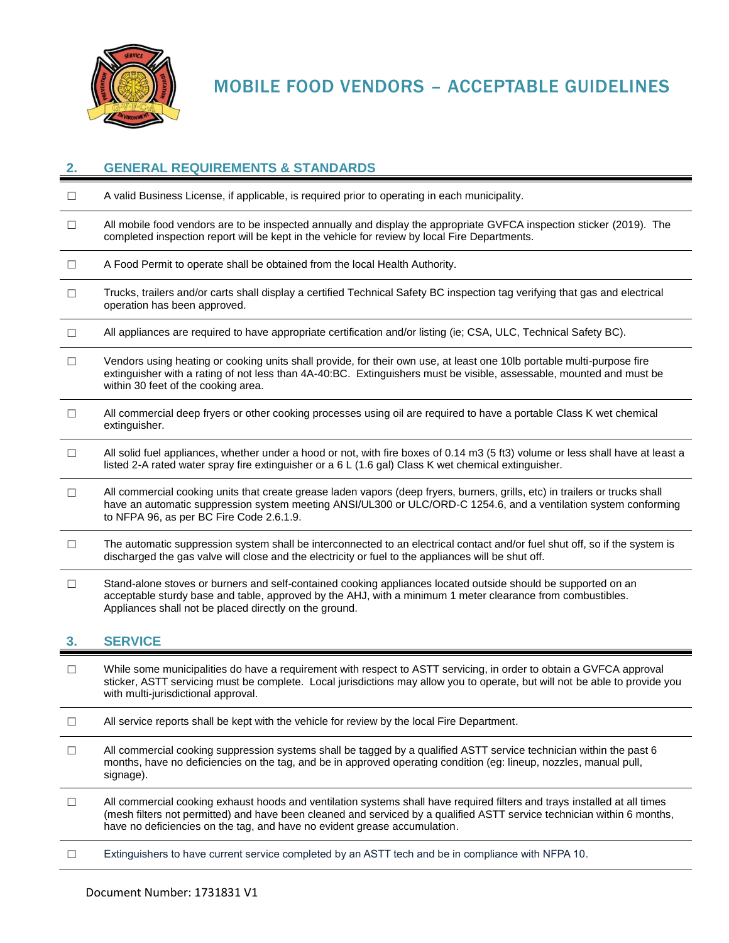

MOBILE FOOD VENDORS – ACCEPTABLE GUIDELINES

| 2.     | <b>GENERAL REQUIREMENTS &amp; STANDARDS</b>                                                                                                                                                                                                                                                  |
|--------|----------------------------------------------------------------------------------------------------------------------------------------------------------------------------------------------------------------------------------------------------------------------------------------------|
| $\Box$ | A valid Business License, if applicable, is required prior to operating in each municipality.                                                                                                                                                                                                |
| $\Box$ | All mobile food vendors are to be inspected annually and display the appropriate GVFCA inspection sticker (2019). The<br>completed inspection report will be kept in the vehicle for review by local Fire Departments.                                                                       |
| $\Box$ | A Food Permit to operate shall be obtained from the local Health Authority.                                                                                                                                                                                                                  |
| $\Box$ | Trucks, trailers and/or carts shall display a certified Technical Safety BC inspection tag verifying that gas and electrical<br>operation has been approved.                                                                                                                                 |
| $\Box$ | All appliances are required to have appropriate certification and/or listing (ie; CSA, ULC, Technical Safety BC).                                                                                                                                                                            |
| $\Box$ | Vendors using heating or cooking units shall provide, for their own use, at least one 10lb portable multi-purpose fire<br>extinguisher with a rating of not less than 4A-40:BC. Extinguishers must be visible, assessable, mounted and must be<br>within 30 feet of the cooking area.        |
| $\Box$ | All commercial deep fryers or other cooking processes using oil are required to have a portable Class K wet chemical<br>extinguisher.                                                                                                                                                        |
| $\Box$ | All solid fuel appliances, whether under a hood or not, with fire boxes of 0.14 m3 (5 ft3) volume or less shall have at least a<br>listed 2-A rated water spray fire extinguisher or a 6 L (1.6 gal) Class K wet chemical extinguisher.                                                      |
| $\Box$ | All commercial cooking units that create grease laden vapors (deep fryers, burners, grills, etc) in trailers or trucks shall<br>have an automatic suppression system meeting ANSI/UL300 or ULC/ORD-C 1254.6, and a ventilation system conforming<br>to NFPA 96, as per BC Fire Code 2.6.1.9. |
| $\Box$ | The automatic suppression system shall be interconnected to an electrical contact and/or fuel shut off, so if the system is<br>discharged the gas valve will close and the electricity or fuel to the appliances will be shut off.                                                           |
| $\Box$ | Stand-alone stoves or burners and self-contained cooking appliances located outside should be supported on an<br>acceptable sturdy base and table, approved by the AHJ, with a minimum 1 meter clearance from combustibles.<br>Appliances shall not be placed directly on the ground.        |
|        | <b>SERVICE</b>                                                                                                                                                                                                                                                                               |
|        | While some municipalities do have a requirement with respect to ASTT servicing in order to obtain a GVECA approval                                                                                                                                                                           |

- ne municipalities do have a requirement with respect to ASTT servicing, in order to obtain a GVFCA approval sticker, ASTT servicing must be complete. Local jurisdictions may allow you to operate, but will not be able to provide you with multi-jurisdictional approval.
- ☐ All service reports shall be kept with the vehicle for review by the local Fire Department.
- ☐ All commercial cooking suppression systems shall be tagged by a qualified ASTT service technician within the past 6 months, have no deficiencies on the tag, and be in approved operating condition (eg: lineup, nozzles, manual pull, signage).
- $\Box$  All commercial cooking exhaust hoods and ventilation systems shall have required filters and trays installed at all times (mesh filters not permitted) and have been cleaned and serviced by a qualified ASTT service technician within 6 months, have no deficiencies on the tag, and have no evident grease accumulation.
- ☐ Extinguishers to have current service completed by an ASTT tech and be in compliance with NFPA 10.